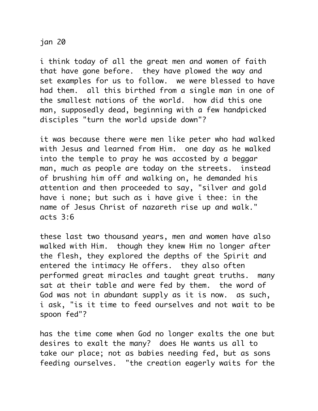## jan 20

i think today of all the great men and women of faith that have gone before. they have plowed the way and set examples for us to follow. we were blessed to have had them. all this birthed from a single man in one of the smallest nations of the world. how did this one man, supposedly dead, beginning with a few handpicked disciples "turn the world upside down"?

it was because there were men like peter who had walked with Jesus and learned from Him. one day as he walked into the temple to pray he was accosted by a beggar man, much as people are today on the streets. instead of brushing him off and walking on, he demanded his attention and then proceeded to say, "silver and gold have i none; but such as i have give i thee: in the name of Jesus Christ of nazareth rise up and walk." acts 3:6

these last two thousand years, men and women have also walked with Him. though they knew Him no longer after the flesh, they explored the depths of the Spirit and entered the intimacy He offers. they also often performed great miracles and taught great truths. many sat at their table and were fed by them. the word of God was not in abundant supply as it is now. as such, i ask, "is it time to feed ourselves and not wait to be spoon fed"?

has the time come when God no longer exalts the one but desires to exalt the many? does He wants us all to take our place; not as babies needing fed, but as sons feeding ourselves. "the creation eagerly waits for the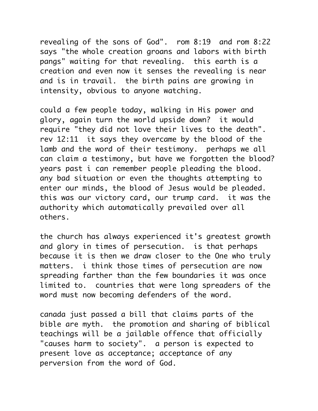revealing of the sons of God". rom 8:19 and rom 8:22 says "the whole creation groans and labors with birth pangs" waiting for that revealing. this earth is a creation and even now it senses the revealing is near and is in travail. the birth pains are growing in intensity, obvious to anyone watching.

could a few people today, walking in His power and glory, again turn the world upside down? it would require "they did not love their lives to the death". rev 12:11 it says they overcame by the blood of the lamb and the word of their testimony. perhaps we all can claim a testimony, but have we forgotten the blood? years past i can remember people pleading the blood. any bad situation or even the thoughts attempting to enter our minds, the blood of Jesus would be pleaded. this was our victory card, our trump card. it was the authority which automatically prevailed over all others.

the church has always experienced it's greatest growth and glory in times of persecution. is that perhaps because it is then we draw closer to the One who truly matters. i think those times of persecution are now spreading farther than the few boundaries it was once limited to. countries that were long spreaders of the word must now becoming defenders of the word.

canada just passed a bill that claims parts of the bible are myth. the promotion and sharing of biblical teachings will be a jailable offence that officially "causes harm to society". a person is expected to present love as acceptance; acceptance of any perversion from the word of God.